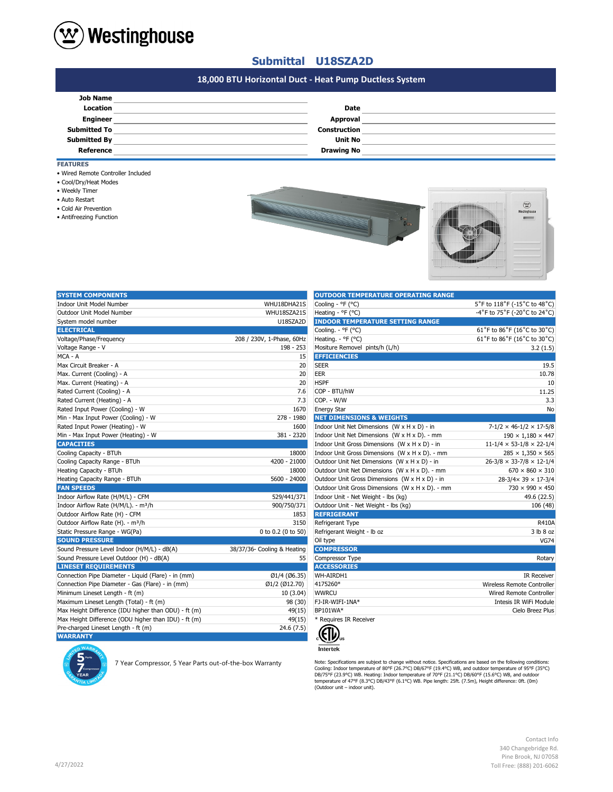

# **Submittal U18SZA2D**

# **#N/A 18,000 BTU Horizontal Duct - Heat Pump Ductless System**

| <b>Job Name</b>     |                     |  |
|---------------------|---------------------|--|
| Location            | <b>Date</b>         |  |
| <b>Engineer</b>     | Approval            |  |
| <b>Submitted To</b> | <b>Construction</b> |  |
| <b>Submitted By</b> | Unit No             |  |
| <b>Reference</b>    | <b>Drawing No</b>   |  |

**FEATURES**

- Wired Remote Controller Included
- Cool/Dry/Heat Modes
- Weekly Timer
- Auto Restart
- Cold Air Prevention
- Antifreezing Function



| <b>SYSTEM COMPONENTS</b>                             |                             | <b>OUTDOOR TEMPERATURE OPERATING RANGE</b>      |                                            |
|------------------------------------------------------|-----------------------------|-------------------------------------------------|--------------------------------------------|
| Indoor Unit Model Number                             | WHU18DHA21S                 | Cooling - °F (°C)                               | 5°F to 118°F (-15°C to 48°C)               |
| Outdoor Unit Model Number                            | WHU18SZA21S                 | Heating - °F (°C)                               | -4°F to 75°F (-20°C to 24°C)               |
| System model number                                  | U18SZA2D                    | <b>INDOOR TEMPERATURE SETTING RANGE</b>         |                                            |
| <b>ELECTRICAL</b>                                    |                             | Cooling. - °F (°C)                              | 61°F to 86°F (16°C to 30°C)                |
| Voltage/Phase/Frequency                              | 208 / 230V, 1-Phase, 60Hz   | Heating. - °F (°C)                              | 61°F to 86°F (16°C to 30°C)                |
| Voltage Range - V                                    | 198 - 253                   | Mositure Removel pints/h (L/h)                  | 3.2(1.5)                                   |
| MCA - A                                              | 15                          | <b>EFFICIENCIES</b>                             |                                            |
| Max Circuit Breaker - A                              | 20                          | <b>SEER</b>                                     | 19.5                                       |
| Max. Current (Cooling) - A                           | 20                          | EER                                             | 10.78                                      |
| Max. Current (Heating) - A                           | 20                          | <b>HSPF</b>                                     | 10                                         |
| Rated Current (Cooling) - A                          | 7.6                         | COP - BTU/hW                                    | 11.25                                      |
| Rated Current (Heating) - A                          | 7.3                         | COP. - W/W                                      | 3.3                                        |
| Rated Input Power (Cooling) - W                      | 1670                        | <b>Energy Star</b>                              | No                                         |
| Min - Max Input Power (Cooling) - W                  | 278 - 1980                  | <b>NET DIMENSIONS &amp; WEIGHTS</b>             |                                            |
| Rated Input Power (Heating) - W                      | 1600                        | Indoor Unit Net Dimensions (W x H x D) - in     | $7-1/2 \times 46-1/2 \times 17-5/8$        |
| Min - Max Input Power (Heating) - W                  | 381 - 2320                  | Indoor Unit Net Dimensions (W x H x D). - mm    | $190 \times 1,180 \times 447$              |
| <b>CAPACITIES</b>                                    |                             | Indoor Unit Gross Dimensions (W x H x D) - in   | $11 - 1/4 \times 53 - 1/8 \times 22 - 1/4$ |
| Cooling Capacity - BTUh                              | 18000                       | Indoor Unit Gross Dimensions (W x H x D). - mm  | $285 \times 1,350 \times 565$              |
| Cooling Capacity Range - BTUh                        | 4200 - 21000                | Outdoor Unit Net Dimensions (W x H x D) - in    | $26 - 3/8 \times 33 - 7/8 \times 12 - 1/4$ |
| Heating Capacity - BTUh                              | 18000                       | Outdoor Unit Net Dimensions (W x H x D). - mm   | $670 \times 860 \times 310$                |
| Heating Capacity Range - BTUh                        | 5600 - 24000                | Outdoor Unit Gross Dimensions (W x H x D) - in  | $28-3/4 \times 39 \times 17-3/4$           |
| <b>FAN SPEEDS</b>                                    |                             | Outdoor Unit Gross Dimensions (W x H x D). - mm | 730 × 990 × 450                            |
| Indoor Airflow Rate (H/M/L) - CFM                    | 529/441/371                 | Indoor Unit - Net Weight - lbs (kg)             | 49.6 (22.5)                                |
| Indoor Airflow Rate (H/M/L). - m <sup>3</sup> /h     | 900/750/371                 | Outdoor Unit - Net Weight - Ibs (kg)            | 106 (48)                                   |
| Outdoor Airflow Rate (H) - CFM                       | 1853                        | <b>REFRIGERANT</b>                              |                                            |
| Outdoor Airflow Rate (H). - m <sup>3</sup> /h        | 3150                        | Refrigerant Type                                | <b>R410A</b>                               |
| Static Pressure Range - WG(Pa)                       | 0 to 0.2 (0 to 50)          | Refrigerant Weight - Ib oz                      | 3 lb 8 oz                                  |
| <b>SOUND PRESSURE</b>                                |                             | Oil type                                        | <b>VG74</b>                                |
| Sound Pressure Level Indoor (H/M/L) - dB(A)          | 38/37/36- Cooling & Heating | <b>COMPRESSOR</b>                               |                                            |
| Sound Pressure Level Outdoor (H) - dB(A)             | 55                          | Compressor Type                                 | Rotary                                     |
| <b>LINESET REQUIREMENTS</b>                          |                             | <b>ACCESSORIES</b>                              |                                            |
| Connection Pipe Diameter - Liquid (Flare) - in (mm)  | Ø1/4 (Ø6.35)                | WH-AIRDH1                                       | <b>IR Receiver</b>                         |
| Connection Pipe Diameter - Gas (Flare) - in (mm)     | Ø1/2 (Ø12.70)               | 4175260*                                        | Wireless Remote Controller                 |
| Minimum Lineset Length - ft (m)                      | 10(3.04)                    | <b>WWRCU</b>                                    | Wired Remote Controller                    |
| Maximum Lineset Length (Total) - ft (m)              | 98 (30)                     | FJ-IR-WIFI-1NA*                                 | Intesis IR WiFi Module                     |
| Max Height Difference (IDU higher than ODU) - ft (m) | 49(15)                      | BP101WA*                                        | Cielo Breez Plus                           |
| Max Height Difference (ODU higher than IDU) - ft (m) | 49(15)                      | * Requires IR Receiver                          |                                            |
| Pre-charged Lineset Length - ft (m)                  | 24.6 (7.5)                  |                                                 |                                            |
| <b>WARRANTY</b>                                      |                             | 《((り)。                                          |                                            |



7 Year Compressor, 5 Year Parts out-of-the-box Warranty

| <b>OUTDOOR TEMPERATURE OPERATING RANGE</b>      |                                      |
|-------------------------------------------------|--------------------------------------|
| Cooling - °F (°C)                               | 5°F to 118°F (-15°C to 48°C)         |
| Heating - °F (°C)                               | -4°F to 75°F (-20°C to 24°C)         |
| <b>INDOOR TEMPERATURE SETTING RANGE</b>         |                                      |
| Cooling. - °F (°C)                              | 61°F to 86°F (16°C to 30°C)          |
| Heating. - °F (°C)                              | 61°F to 86°F (16°C to 30°C)          |
| Mositure Removel pints/h (L/h)                  | 3.2(1.5)                             |
| <b>EFFICIENCIES</b>                             |                                      |
| SEER                                            | 19.5                                 |
| <b>EER</b>                                      | 10.78                                |
| <b>HSPF</b>                                     | 10                                   |
| COP - BTU/hW                                    | 11.25                                |
| COP. - W/W                                      | 3.3                                  |
| <b>Energy Star</b>                              | No                                   |
| <b>NET DIMENSIONS &amp; WEIGHTS</b>             |                                      |
| Indoor Unit Net Dimensions (W x H x D) - in     | $7-1/2 \times 46-1/2 \times 17-5/8$  |
| Indoor Unit Net Dimensions (W x H x D). - mm    | $190 \times 1,180 \times 447$        |
| Indoor Unit Gross Dimensions (W x H x D) - in   | $11-1/4 \times 53-1/8 \times 22-1/4$ |
| Indoor Unit Gross Dimensions (W x H x D). - mm  | $285 \times 1,350 \times 565$        |
| Outdoor Unit Net Dimensions (W x H x D) - in    | $26-3/8 \times 33-7/8 \times 12-1/4$ |
| Outdoor Unit Net Dimensions (W x H x D). - mm   | $670 \times 860 \times 310$          |
| Outdoor Unit Gross Dimensions (W x H x D) - in  | $28-3/4 \times 39 \times 17-3/4$     |
| Outdoor Unit Gross Dimensions (W x H x D). - mm | $730 \times 990 \times 450$          |
| Indoor Unit - Net Weight - lbs (kg)             | 49.6 (22.5)                          |
| Outdoor Unit - Net Weight - Ibs (kg)            | 106 (48)                             |
| <b>REFRIGERANT</b>                              |                                      |
| Refrigerant Type                                | <b>R410A</b>                         |
| Refrigerant Weight - Ib oz                      | 3 lb 8 oz                            |
| Oil type                                        | <b>VG74</b>                          |
| <b>COMPRESSOR</b>                               |                                      |
| Compressor Type                                 | Rotary                               |
| <b>ACCESSORIES</b>                              |                                      |
| WH-AIRDH1                                       | <b>IR Receiver</b>                   |
| 4175260*                                        | Wireless Remote Controller           |
| <b>WWRCU</b>                                    | Wired Remote Controller              |
| FJ-IR-WIFI-1NA*                                 | Intesis IR WiFi Module               |
| BP101WA*                                        | Cielo Breez Plus                     |
| * Requires IR Receiver                          |                                      |



Note: Specifications are subjext to change without notice. Specifications are based on the following conditions:<br>Cooling: Indoor temperature of 80°F (26.7°C) DB/67°F (19.4°C) WB, and outdoor temperature of 95°F (35°C)<br>DB/7

Contact Info 340 Changebridge Rd. Pine Brook, NJ 07058 Toll Free: (888) 201-6062